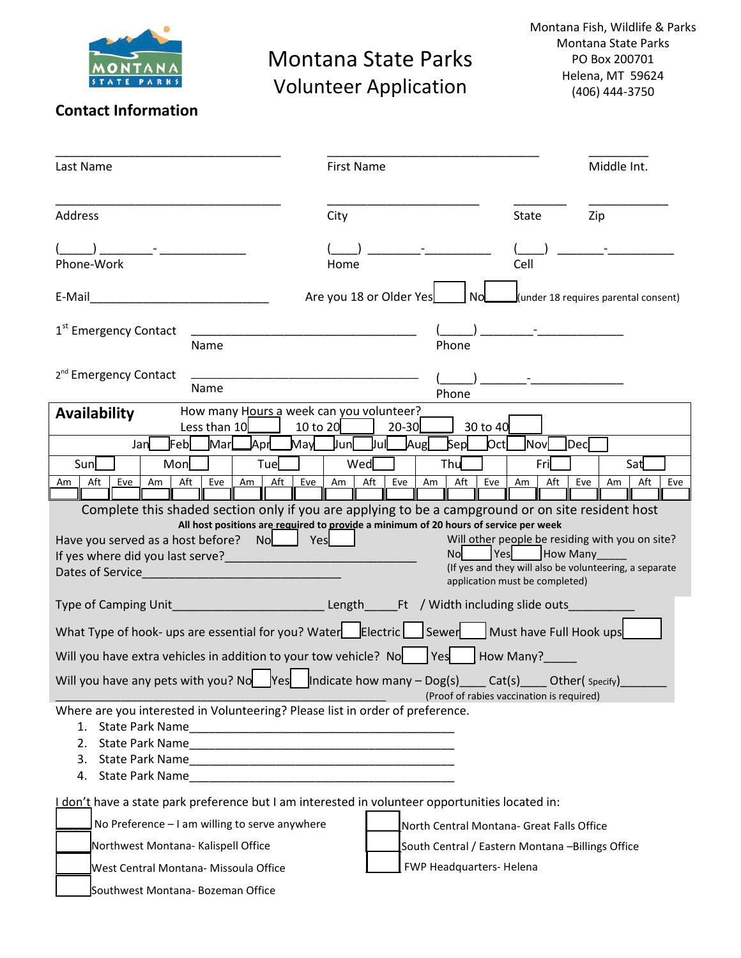

## Montana State Parks Volunteer Application

Montana Fish, Wildlife & Parks Montana State Parks PO Box 200701 Helena, MT 59624 (406) 444-3750

## **Contact Information**

| Last Name                                                                                                                                                                | <b>First Name</b>                                                                                  |                                                                  | Middle Int.                                                                                               |
|--------------------------------------------------------------------------------------------------------------------------------------------------------------------------|----------------------------------------------------------------------------------------------------|------------------------------------------------------------------|-----------------------------------------------------------------------------------------------------------|
| Address                                                                                                                                                                  | City                                                                                               | <b>State</b>                                                     | Zip                                                                                                       |
| Phone-Work                                                                                                                                                               | Home                                                                                               | Cell                                                             |                                                                                                           |
| E-Mail                                                                                                                                                                   | Are you 18 or Older Yes<br>Nol                                                                     |                                                                  | (under 18 requires parental consent)                                                                      |
| 1 <sup>st</sup> Emergency Contact<br>Name                                                                                                                                | Phone                                                                                              |                                                                  |                                                                                                           |
| 2 <sup>nd</sup> Emergency Contact<br>Name                                                                                                                                | Phone                                                                                              |                                                                  |                                                                                                           |
| How many Hours a week can you volunteer?<br><b>Availability</b><br>Less than 10<br>10 to 20                                                                              | $20 - 30$<br>30 to 40                                                                              |                                                                  |                                                                                                           |
| Mar<br><b>JAprL</b><br>Febl<br>Jan                                                                                                                                       | May Jun<br>Aug<br><b>Jul</b><br>Sep                                                                | $ $ Oct $ $<br>Nov                                               | Dec                                                                                                       |
| Sun<br>Mon<br>Tue<br>Aft<br>Aft<br>Eve<br>Aft<br>Eve<br>Am<br>Eve<br>Am<br>Am                                                                                            | Wed<br>Thu<br>Aft<br>Aft<br>Eve<br>Eve<br>Am<br>Am                                                 | Fri<br>Aft<br>Am                                                 | Sat<br>Eve<br>Aft<br>Am<br>Eve                                                                            |
| Complete this shaded section only if you are applying to be a campground or on site resident host<br>Have you served as a host before?<br>Nol<br>Yes<br>Dates of Service | All host positions are required to provide a minimum of 20 hours of service per week<br><b>Nol</b> | <b>Yes</b><br>How Many<br>application must be completed)         | Will other people be residing with you on site?<br>(If yes and they will also be volunteering, a separate |
| Type of Camping Unit<br>What Type of hook- ups are essential for you? Water $\Box$ Electric $\Box$ Sewer $\Box$ Must have Full Hook ups                                  | Length Ft / Width including slide outs                                                             |                                                                  |                                                                                                           |
|                                                                                                                                                                          |                                                                                                    |                                                                  |                                                                                                           |
| Will you have extra vehicles in addition to your tow vehicle? No   Yes<br>Will you have any pets with you? No $\log$   ndicate how many – Dog(s)                         |                                                                                                    | How Many?<br>Cat(s)<br>(Proof of rabies vaccination is required) | Other( Specify)                                                                                           |
| Where are you interested in Volunteering? Please list in order of preference.                                                                                            |                                                                                                    |                                                                  |                                                                                                           |
| I don't have a state park preference but I am interested in volunteer opportunities located in:                                                                          |                                                                                                    |                                                                  |                                                                                                           |
| No Preference - I am willing to serve anywhere                                                                                                                           | North Central Montana- Great Falls Office                                                          |                                                                  |                                                                                                           |
| Northwest Montana- Kalispell Office                                                                                                                                      | South Central / Eastern Montana -Billings Office                                                   |                                                                  |                                                                                                           |
| West Central Montana- Missoula Office                                                                                                                                    | FWP Headquarters-Helena                                                                            |                                                                  |                                                                                                           |
| Southwest Montana- Bozeman Office                                                                                                                                        |                                                                                                    |                                                                  |                                                                                                           |